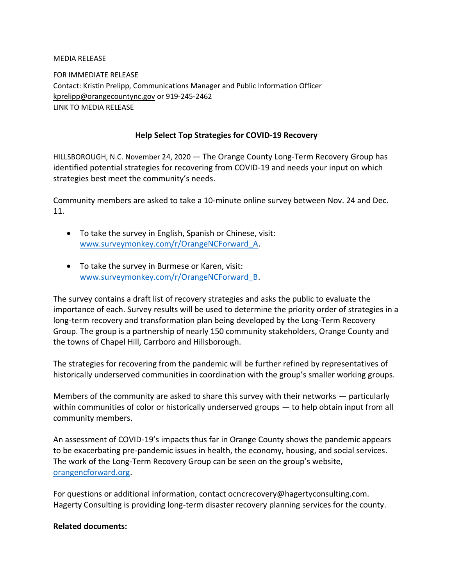MEDIA RELEASE

FOR IMMEDIATE RELEASE Contact: Kristin Prelipp, Communications Manager and Public Information Officer [kprelipp@orangecountync.gov](mailto:kprelipp@orangecountync.gov) or 919-245-2462 LINK TO MEDIA RELEASE

## **Help Select Top Strategies for COVID-19 Recovery**

HILLSBOROUGH, N.C. November 24, 2020 ― The Orange County Long-Term Recovery Group has identified potential strategies for recovering from COVID-19 and needs your input on which strategies best meet the community's needs.

Community members are asked to take a 10-minute online survey between Nov. 24 and Dec. 11.

- To take the survey in English, Spanish or Chinese, visit: [www.surveymonkey.com/r/OrangeNCForward\\_A.](http://www.surveymonkey.com/r/OrangeNCForward_A)
- To take the survey in Burmese or Karen, visit: [www.surveymonkey.com/r/OrangeNCForward\\_B.](http://www.surveymonkey.com/r/OrangeNCForward_B)

The survey contains a draft list of recovery strategies and asks the public to evaluate the importance of each. Survey results will be used to determine the priority order of strategies in a long-term recovery and transformation plan being developed by the Long-Term Recovery Group. The group is a partnership of nearly 150 community stakeholders, Orange County and the towns of Chapel Hill, Carrboro and Hillsborough.

The strategies for recovering from the pandemic will be further refined by representatives of historically underserved communities in coordination with the group's smaller working groups.

Members of the community are asked to share this survey with their networks ― particularly within communities of color or historically underserved groups — to help obtain input from all community members.

An assessment of COVID-19's impacts thus far in Orange County shows the pandemic appears to be exacerbating pre-pandemic issues in health, the economy, housing, and social services. The work of the Long-Term Recovery Group can be seen on the group's website, [orangencforward.org.](https://www.orangencforward.org/)

For questions or additional information, contact ocncrecovery@hagertyconsulting.com. Hagerty Consulting is providing long-term disaster recovery planning services for the county.

## **Related documents:**